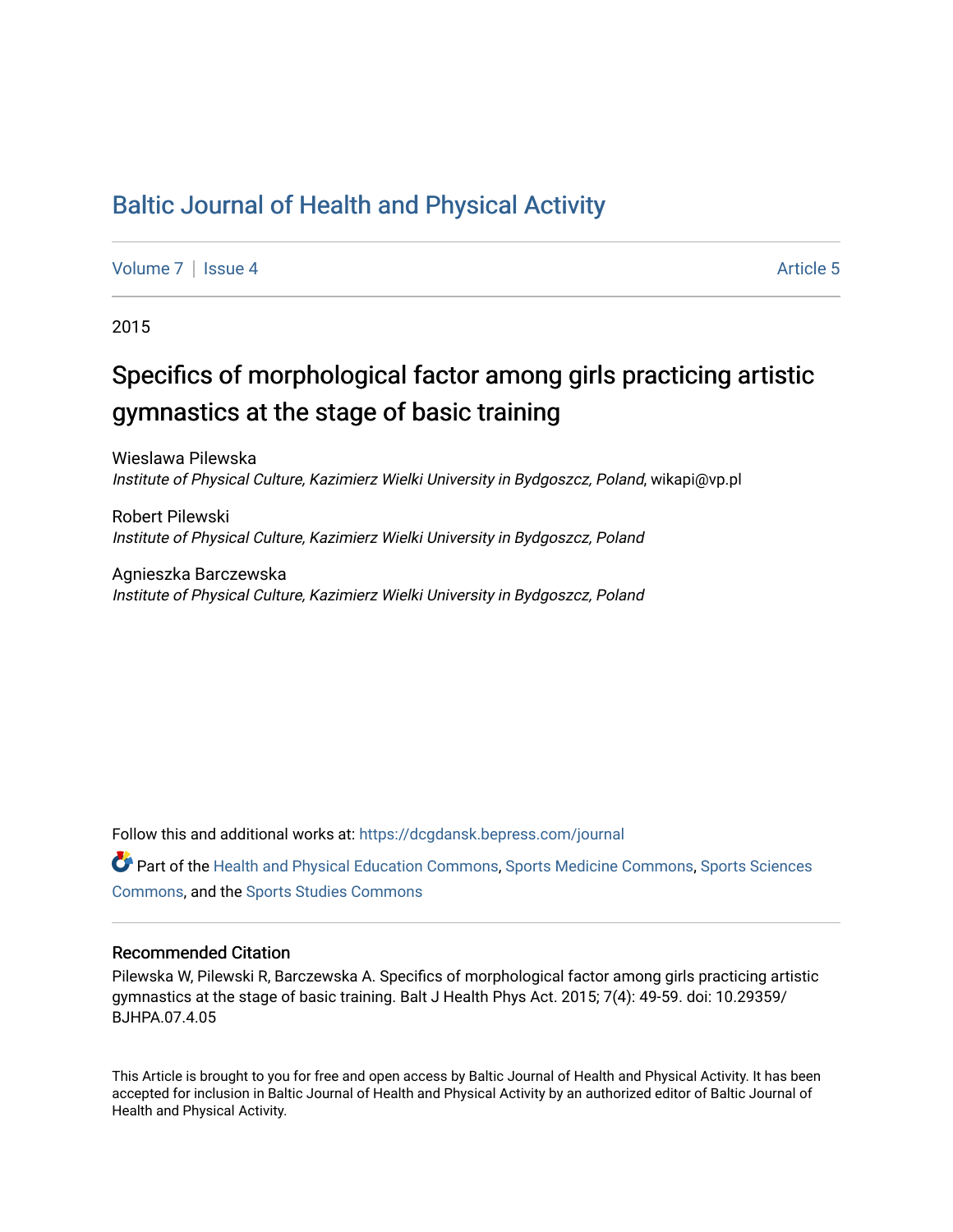## [Baltic Journal of Health and Physical Activity](https://dcgdansk.bepress.com/journal)

[Volume 7](https://dcgdansk.bepress.com/journal/vol7) | [Issue 4](https://dcgdansk.bepress.com/journal/vol7/iss4) Article 5

2015

## Specifics of morphological factor among girls practicing artistic gymnastics at the stage of basic training

Wieslawa Pilewska Institute of Physical Culture, Kazimierz Wielki University in Bydgoszcz, Poland, wikapi@vp.pl

Robert Pilewski Institute of Physical Culture, Kazimierz Wielki University in Bydgoszcz, Poland

Agnieszka Barczewska Institute of Physical Culture, Kazimierz Wielki University in Bydgoszcz, Poland

Follow this and additional works at: [https://dcgdansk.bepress.com/journal](https://dcgdansk.bepress.com/journal?utm_source=dcgdansk.bepress.com%2Fjournal%2Fvol7%2Fiss4%2F5&utm_medium=PDF&utm_campaign=PDFCoverPages)

Part of the [Health and Physical Education Commons](http://network.bepress.com/hgg/discipline/1327?utm_source=dcgdansk.bepress.com%2Fjournal%2Fvol7%2Fiss4%2F5&utm_medium=PDF&utm_campaign=PDFCoverPages), [Sports Medicine Commons,](http://network.bepress.com/hgg/discipline/1331?utm_source=dcgdansk.bepress.com%2Fjournal%2Fvol7%2Fiss4%2F5&utm_medium=PDF&utm_campaign=PDFCoverPages) [Sports Sciences](http://network.bepress.com/hgg/discipline/759?utm_source=dcgdansk.bepress.com%2Fjournal%2Fvol7%2Fiss4%2F5&utm_medium=PDF&utm_campaign=PDFCoverPages) [Commons](http://network.bepress.com/hgg/discipline/759?utm_source=dcgdansk.bepress.com%2Fjournal%2Fvol7%2Fiss4%2F5&utm_medium=PDF&utm_campaign=PDFCoverPages), and the [Sports Studies Commons](http://network.bepress.com/hgg/discipline/1198?utm_source=dcgdansk.bepress.com%2Fjournal%2Fvol7%2Fiss4%2F5&utm_medium=PDF&utm_campaign=PDFCoverPages) 

#### Recommended Citation

Pilewska W, Pilewski R, Barczewska A. Specifics of morphological factor among girls practicing artistic gymnastics at the stage of basic training. Balt J Health Phys Act. 2015; 7(4): 49-59. doi: 10.29359/ BJHPA.07.4.05

This Article is brought to you for free and open access by Baltic Journal of Health and Physical Activity. It has been accepted for inclusion in Baltic Journal of Health and Physical Activity by an authorized editor of Baltic Journal of Health and Physical Activity.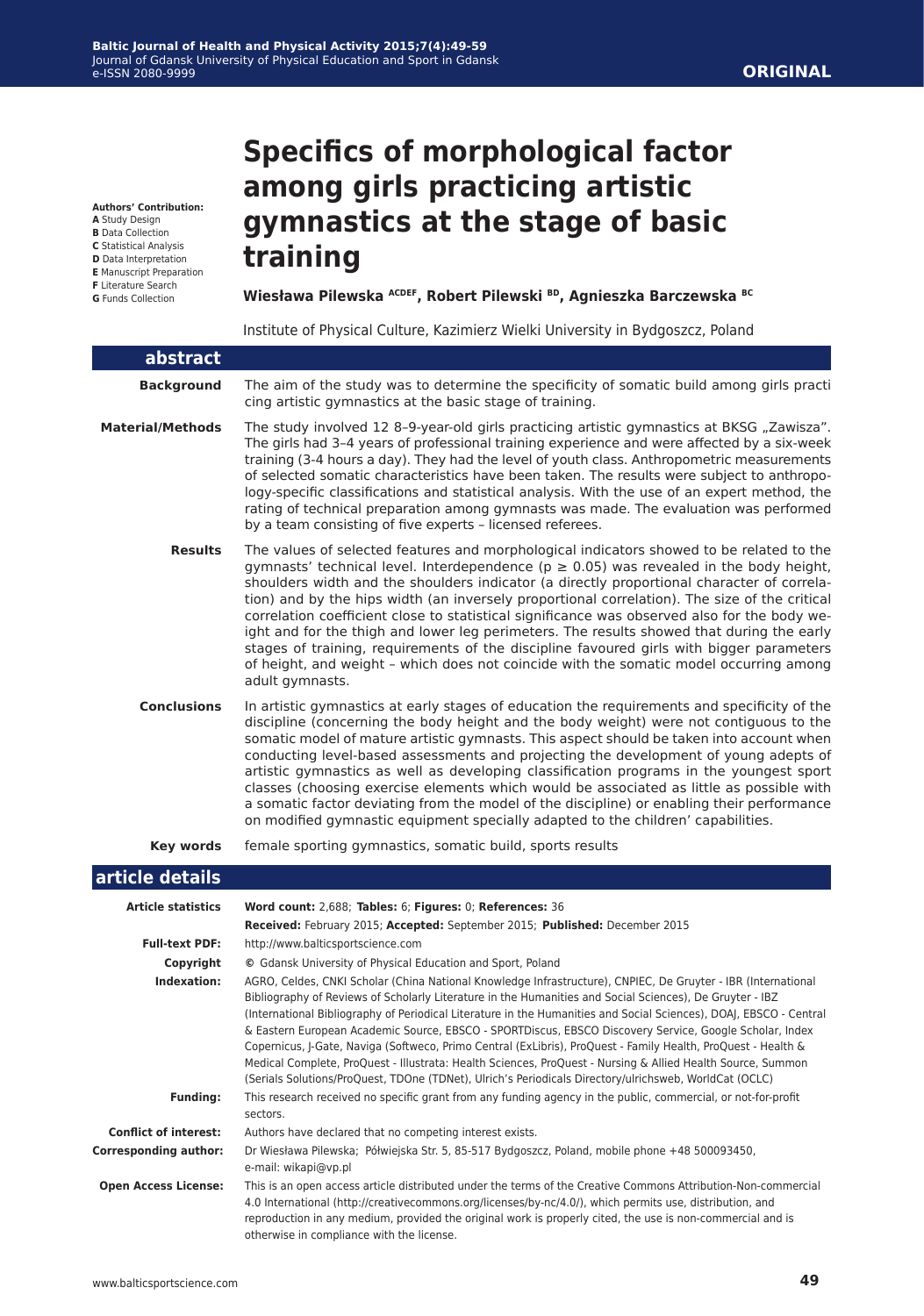#### **Authors' Contribution:**

**A** Study Design

- **B** Data Collection
- **C** Statistical Analysis
- **D** Data Interpretation **E** Manuscript Preparation
- **F** Literature Search
- **G** Funds Collection

# **Specifics of morphological factor among girls practicing artistic gymnastics at the stage of basic training**

**Wiesława Pilewska ACDEF, Robert Pilewski BD, Agnieszka Barczewska BC**

Institute of Physical Culture, Kazimierz Wielki University in Bydgoszcz, Poland

| abstract                     |                                                                                                                                                                                                                                                                                                                                                                                                                                                                                                                                                                                                                                                                                                                                                                                                      |
|------------------------------|------------------------------------------------------------------------------------------------------------------------------------------------------------------------------------------------------------------------------------------------------------------------------------------------------------------------------------------------------------------------------------------------------------------------------------------------------------------------------------------------------------------------------------------------------------------------------------------------------------------------------------------------------------------------------------------------------------------------------------------------------------------------------------------------------|
| <b>Background</b>            | The aim of the study was to determine the specificity of somatic build among girls practi<br>cing artistic gymnastics at the basic stage of training.                                                                                                                                                                                                                                                                                                                                                                                                                                                                                                                                                                                                                                                |
| <b>Material/Methods</b>      | The study involved 12 8-9-year-old girls practicing artistic gymnastics at BKSG "Zawisza".<br>The girls had 3-4 years of professional training experience and were affected by a six-week<br>training (3-4 hours a day). They had the level of youth class. Anthropometric measurements<br>of selected somatic characteristics have been taken. The results were subject to anthropo-<br>logy-specific classifications and statistical analysis. With the use of an expert method, the<br>rating of technical preparation among gymnasts was made. The evaluation was performed<br>by a team consisting of five experts - licensed referees.                                                                                                                                                         |
| <b>Results</b>               | The values of selected features and morphological indicators showed to be related to the<br>gymnasts' technical level. Interdependence ( $p \ge 0.05$ ) was revealed in the body height,<br>shoulders width and the shoulders indicator (a directly proportional character of correla-<br>tion) and by the hips width (an inversely proportional correlation). The size of the critical<br>correlation coefficient close to statistical significance was observed also for the body we-<br>ight and for the thigh and lower leg perimeters. The results showed that during the early<br>stages of training, requirements of the discipline favoured girls with bigger parameters<br>of height, and weight - which does not coincide with the somatic model occurring among<br>adult gymnasts.        |
| <b>Conclusions</b>           | In artistic gymnastics at early stages of education the requirements and specificity of the<br>discipline (concerning the body height and the body weight) were not contiguous to the<br>somatic model of mature artistic gymnasts. This aspect should be taken into account when<br>conducting level-based assessments and projecting the development of young adepts of<br>artistic gymnastics as well as developing classification programs in the youngest sport<br>classes (choosing exercise elements which would be associated as little as possible with<br>a somatic factor deviating from the model of the discipline) or enabling their performance<br>on modified gymnastic equipment specially adapted to the children' capabilities.                                                   |
| <b>Key words</b>             | female sporting gymnastics, somatic build, sports results                                                                                                                                                                                                                                                                                                                                                                                                                                                                                                                                                                                                                                                                                                                                            |
| article details              |                                                                                                                                                                                                                                                                                                                                                                                                                                                                                                                                                                                                                                                                                                                                                                                                      |
|                              |                                                                                                                                                                                                                                                                                                                                                                                                                                                                                                                                                                                                                                                                                                                                                                                                      |
| <b>Article statistics</b>    | Word count: 2,688; Tables: 6; Figures: 0; References: 36<br>Received: February 2015; Accepted: September 2015; Published: December 2015                                                                                                                                                                                                                                                                                                                                                                                                                                                                                                                                                                                                                                                              |
| <b>Full-text PDF:</b>        | http://www.balticsportscience.com                                                                                                                                                                                                                                                                                                                                                                                                                                                                                                                                                                                                                                                                                                                                                                    |
| Copyright                    | © Gdansk University of Physical Education and Sport, Poland                                                                                                                                                                                                                                                                                                                                                                                                                                                                                                                                                                                                                                                                                                                                          |
| Indexation:                  | AGRO, Celdes, CNKI Scholar (China National Knowledge Infrastructure), CNPIEC, De Gruyter - IBR (International<br>Bibliography of Reviews of Scholarly Literature in the Humanities and Social Sciences), De Gruyter - IBZ<br>(International Bibliography of Periodical Literature in the Humanities and Social Sciences), DOAJ, EBSCO - Central<br>& Eastern European Academic Source, EBSCO - SPORTDiscus, EBSCO Discovery Service, Google Scholar, Index<br>Copernicus, J-Gate, Naviga (Softweco, Primo Central (ExLibris), ProQuest - Family Health, ProQuest - Health &<br>Medical Complete, ProQuest - Illustrata: Health Sciences, ProQuest - Nursing & Allied Health Source, Summon<br>(Serials Solutions/ProQuest, TDOne (TDNet), Ulrich's Periodicals Directory/ulrichsweb, WorldCat (OCLC) |
| <b>Funding:</b>              | This research received no specific grant from any funding agency in the public, commercial, or not-for-profit                                                                                                                                                                                                                                                                                                                                                                                                                                                                                                                                                                                                                                                                                        |
|                              | sectors.                                                                                                                                                                                                                                                                                                                                                                                                                                                                                                                                                                                                                                                                                                                                                                                             |
| <b>Conflict of interest:</b> | Authors have declared that no competing interest exists.                                                                                                                                                                                                                                                                                                                                                                                                                                                                                                                                                                                                                                                                                                                                             |
| <b>Corresponding author:</b> | Dr Wiesława Pilewska; Półwiejska Str. 5, 85-517 Bydgoszcz, Poland, mobile phone +48 500093450,<br>e-mail: wikapi@vp.pl                                                                                                                                                                                                                                                                                                                                                                                                                                                                                                                                                                                                                                                                               |
| <b>Open Access License:</b>  | This is an open access article distributed under the terms of the Creative Commons Attribution-Non-commercial<br>4.0 International (http://creativecommons.org/licenses/by-nc/4.0/), which permits use, distribution, and<br>reproduction in any medium, provided the original work is properly cited, the use is non-commercial and is                                                                                                                                                                                                                                                                                                                                                                                                                                                              |

otherwise in compliance with the license.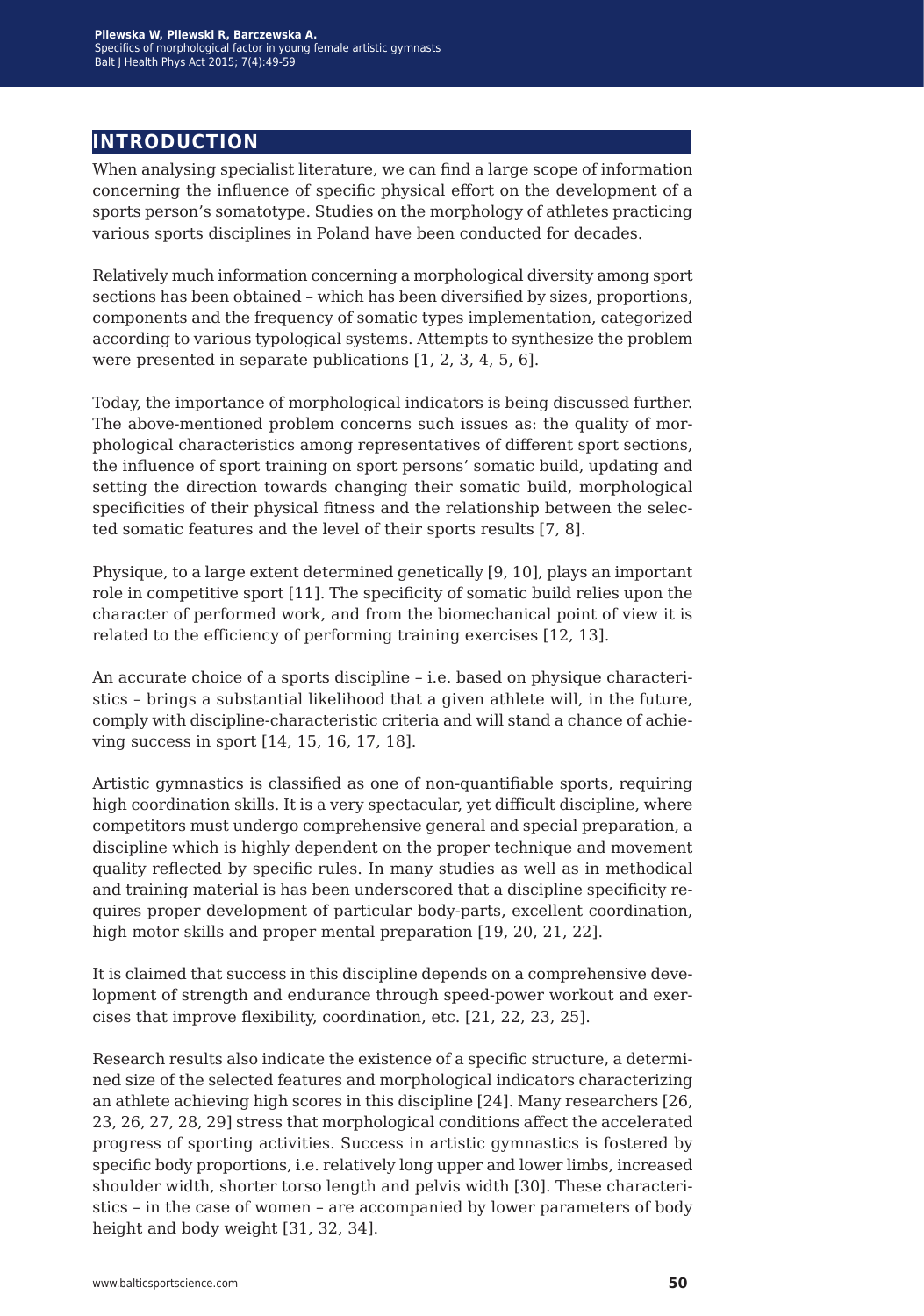### **introduction**

When analysing specialist literature, we can find a large scope of information concerning the influence of specific physical effort on the development of a sports person's somatotype. Studies on the morphology of athletes practicing various sports disciplines in Poland have been conducted for decades.

Relatively much information concerning a morphological diversity among sport sections has been obtained – which has been diversified by sizes, proportions, components and the frequency of somatic types implementation, categorized according to various typological systems. Attempts to synthesize the problem were presented in separate publications [1, 2, 3, 4, 5, 6].

Today, the importance of morphological indicators is being discussed further. The above-mentioned problem concerns such issues as: the quality of morphological characteristics among representatives of different sport sections, the influence of sport training on sport persons' somatic build, updating and setting the direction towards changing their somatic build, morphological specificities of their physical fitness and the relationship between the selected somatic features and the level of their sports results [7, 8].

Physique, to a large extent determined genetically [9, 10], plays an important role in competitive sport [11]. The specificity of somatic build relies upon the character of performed work, and from the biomechanical point of view it is related to the efficiency of performing training exercises [12, 13].

An accurate choice of a sports discipline – i.e. based on physique characteristics – brings a substantial likelihood that a given athlete will, in the future, comply with discipline-characteristic criteria and will stand a chance of achieving success in sport [14, 15, 16, 17, 18].

Artistic gymnastics is classified as one of non-quantifiable sports, requiring high coordination skills. It is a very spectacular, yet difficult discipline, where competitors must undergo comprehensive general and special preparation, a discipline which is highly dependent on the proper technique and movement quality reflected by specific rules. In many studies as well as in methodical and training material is has been underscored that a discipline specificity requires proper development of particular body-parts, excellent coordination, high motor skills and proper mental preparation [19, 20, 21, 22].

It is claimed that success in this discipline depends on a comprehensive development of strength and endurance through speed-power workout and exercises that improve flexibility, coordination, etc. [21, 22, 23, 25].

Research results also indicate the existence of a specific structure, a determined size of the selected features and morphological indicators characterizing an athlete achieving high scores in this discipline [24]. Many researchers [26, 23, 26, 27, 28, 29] stress that morphological conditions affect the accelerated progress of sporting activities. Success in artistic gymnastics is fostered by specific body proportions, i.e. relatively long upper and lower limbs, increased shoulder width, shorter torso length and pelvis width [30]. These characteristics – in the case of women – are accompanied by lower parameters of body height and body weight [31, 32, 34].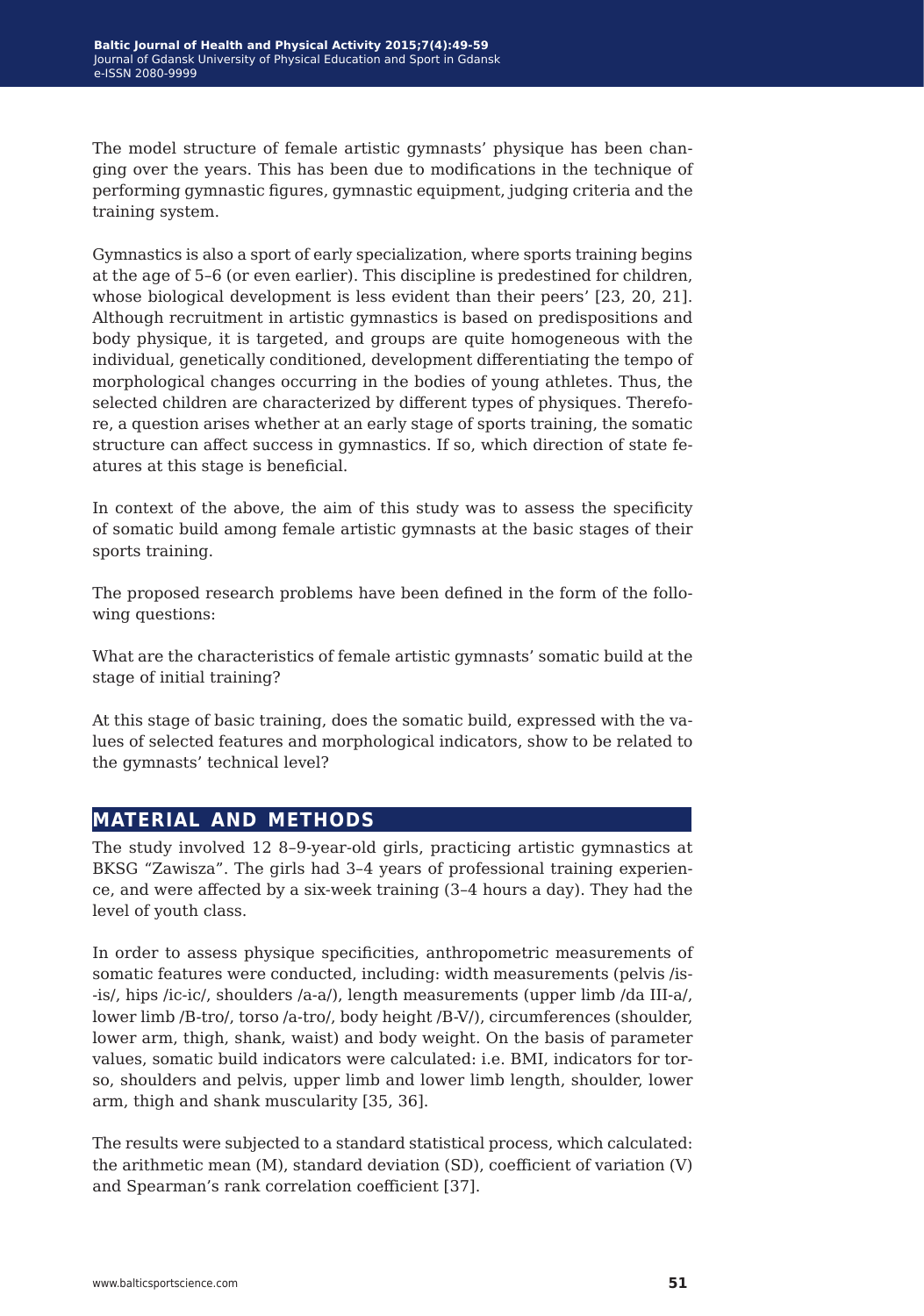The model structure of female artistic gymnasts' physique has been changing over the years. This has been due to modifications in the technique of performing gymnastic figures, gymnastic equipment, judging criteria and the training system.

Gymnastics is also a sport of early specialization, where sports training begins at the age of 5–6 (or even earlier). This discipline is predestined for children, whose biological development is less evident than their peers' [23, 20, 21]. Although recruitment in artistic gymnastics is based on predispositions and body physique, it is targeted, and groups are quite homogeneous with the individual, genetically conditioned, development differentiating the tempo of morphological changes occurring in the bodies of young athletes. Thus, the selected children are characterized by different types of physiques. Therefore, a question arises whether at an early stage of sports training, the somatic structure can affect success in gymnastics. If so, which direction of state features at this stage is beneficial.

In context of the above, the aim of this study was to assess the specificity of somatic build among female artistic gymnasts at the basic stages of their sports training.

The proposed research problems have been defined in the form of the following questions:

What are the characteristics of female artistic gymnasts' somatic build at the stage of initial training?

At this stage of basic training, does the somatic build, expressed with the values of selected features and morphological indicators, show to be related to the gymnasts' technical level?

### **material and methods**

The study involved 12 8–9-year-old girls, practicing artistic gymnastics at BKSG "Zawisza". The girls had 3–4 years of professional training experience, and were affected by a six-week training (3–4 hours a day). They had the level of youth class.

In order to assess physique specificities, anthropometric measurements of somatic features were conducted, including: width measurements (pelvis /is- -is/, hips /ic-ic/, shoulders /a-a/), length measurements (upper limb /da III-a/, lower limb /B-tro/, torso /a-tro/, body height /B-V/), circumferences (shoulder, lower arm, thigh, shank, waist) and body weight. On the basis of parameter values, somatic build indicators were calculated: i.e. BMI, indicators for torso, shoulders and pelvis, upper limb and lower limb length, shoulder, lower arm, thigh and shank muscularity [35, 36].

The results were subjected to a standard statistical process, which calculated: the arithmetic mean (M), standard deviation (SD), coefficient of variation (V) and Spearman's rank correlation coefficient [37].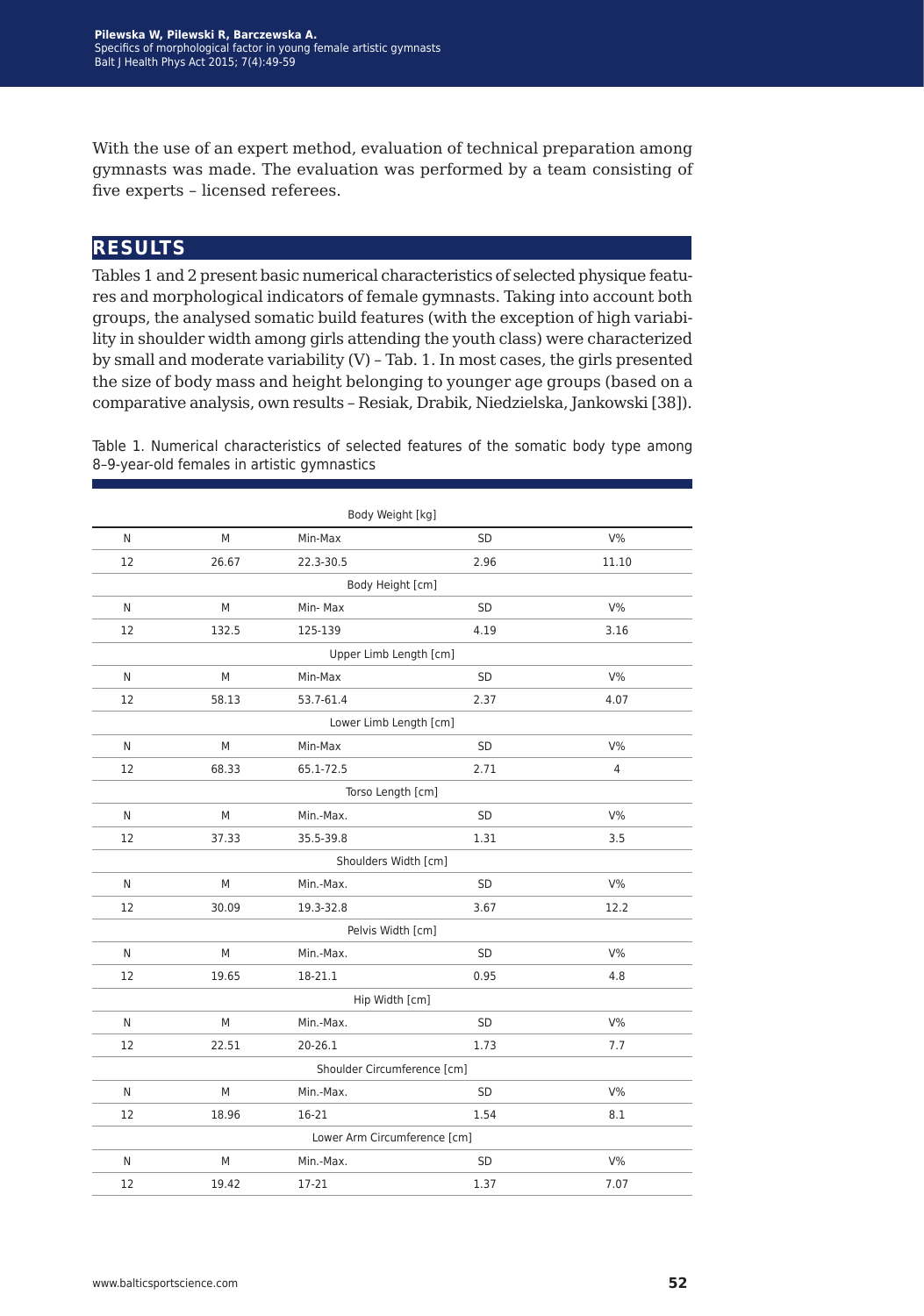With the use of an expert method, evaluation of technical preparation among gymnasts was made. The evaluation was performed by a team consisting of five experts – licensed referees.

### **results**

Tables 1 and 2 present basic numerical characteristics of selected physique features and morphological indicators of female gymnasts. Taking into account both groups, the analysed somatic build features (with the exception of high variability in shoulder width among girls attending the youth class) were characterized by small and moderate variability (V) – Tab. 1. In most cases, the girls presented the size of body mass and height belonging to younger age groups (based on a comparative analysis, own results – Resiak, Drabik, Niedzielska, Jankowski [38]).

Table 1. Numerical characteristics of selected features of the somatic body type among 8–9-year-old females in artistic gymnastics

| Body Weight [kg]            |       |           |                              |                |  |  |
|-----------------------------|-------|-----------|------------------------------|----------------|--|--|
| N                           | M     | Min-Max   | <b>SD</b>                    | $V\%$          |  |  |
| 12                          | 26.67 | 22.3-30.5 | 2.96                         | 11.10          |  |  |
|                             |       |           | Body Height [cm]             |                |  |  |
| N                           | M     | Min-Max   | <b>SD</b>                    | $V\%$          |  |  |
| 12                          | 132.5 | 125-139   | 4.19                         | 3.16           |  |  |
|                             |       |           | Upper Limb Length [cm]       |                |  |  |
| N                           | M     | Min-Max   | <b>SD</b>                    | $V\%$          |  |  |
| 12                          | 58.13 | 53.7-61.4 | 2.37                         | 4.07           |  |  |
|                             |       |           | Lower Limb Length [cm]       |                |  |  |
| N                           | M     | Min-Max   | SD                           | $V\%$          |  |  |
| 12                          | 68.33 | 65.1-72.5 | 2.71                         | $\overline{4}$ |  |  |
| Torso Length [cm]           |       |           |                              |                |  |  |
| N                           | M     | Min.-Max. | <b>SD</b>                    | $V\%$          |  |  |
| 12                          | 37.33 | 35.5-39.8 | 1.31                         | 3.5            |  |  |
|                             |       |           | Shoulders Width [cm]         |                |  |  |
| N                           | M     | Min.-Max. | <b>SD</b>                    | $V\%$          |  |  |
| 12                          | 30.09 | 19.3-32.8 | 3.67                         | 12.2           |  |  |
|                             |       |           | Pelvis Width [cm]            |                |  |  |
| N                           | M     | Min.-Max. | <b>SD</b>                    | $V\%$          |  |  |
| 12                          | 19.65 | 18-21.1   | 0.95                         | 4.8            |  |  |
| Hip Width [cm]              |       |           |                              |                |  |  |
| N                           | M     | Min.-Max. | SD                           | $V\%$          |  |  |
| 12                          | 22.51 | 20-26.1   | 1.73                         | 7.7            |  |  |
| Shoulder Circumference [cm] |       |           |                              |                |  |  |
| N                           | M     | Min.-Max. | <b>SD</b>                    | $V\%$          |  |  |
| 12                          | 18.96 | 16-21     | 1.54                         | 8.1            |  |  |
|                             |       |           | Lower Arm Circumference [cm] |                |  |  |
| N                           | M     | Min.-Max. | SD                           | $V\%$          |  |  |
| 12                          | 19.42 | 17-21     | 1.37                         | 7.07           |  |  |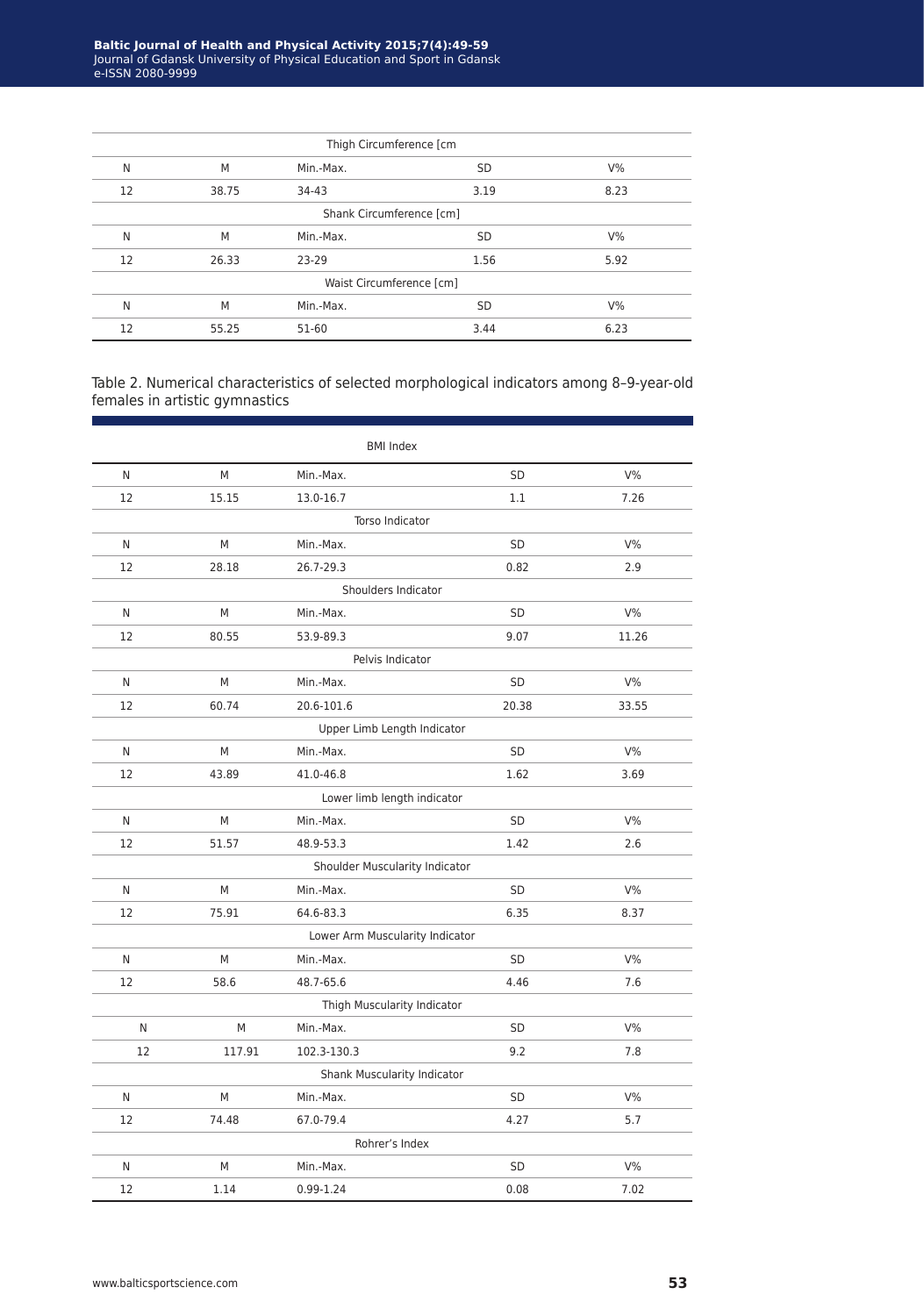| Thigh Circumference [cm  |       |           |           |       |  |
|--------------------------|-------|-----------|-----------|-------|--|
| N                        | M     | Min.-Max. | <b>SD</b> | $V\%$ |  |
| 12                       | 38.75 | 34-43     | 3.19      | 8.23  |  |
| Shank Circumference [cm] |       |           |           |       |  |
| N                        | M     | Min.-Max. | <b>SD</b> | $V\%$ |  |
| 12                       | 26.33 | 23-29     | 1.56      | 5.92  |  |
| Waist Circumference [cm] |       |           |           |       |  |
| N                        | M     | Min.-Max. | <b>SD</b> | $V\%$ |  |
| 12                       | 55.25 | 51-60     | 3.44      | 6.23  |  |

Table 2. Numerical characteristics of selected morphological indicators among 8–9-year-old females in artistic gymnastics

|                                 |        |             | <b>BMI Index</b>               |       |  |  |
|---------------------------------|--------|-------------|--------------------------------|-------|--|--|
| N                               | M      | Min.-Max.   | SD                             | $V\%$ |  |  |
| 12                              | 15.15  | 13.0-16.7   | 1.1                            | 7.26  |  |  |
|                                 |        |             | Torso Indicator                |       |  |  |
| N                               | M      | Min.-Max.   | SD                             | $V\%$ |  |  |
| 12                              | 28.18  | 26.7-29.3   | 0.82                           | 2.9   |  |  |
|                                 |        |             | Shoulders Indicator            |       |  |  |
| N                               | M      | Min.-Max.   | <b>SD</b>                      | $V\%$ |  |  |
| 12                              | 80.55  | 53.9-89.3   | 9.07                           | 11.26 |  |  |
|                                 |        |             | Pelvis Indicator               |       |  |  |
| N                               | M      | Min.-Max.   | <b>SD</b>                      | $V\%$ |  |  |
| 12                              | 60.74  | 20.6-101.6  | 20.38                          | 33.55 |  |  |
| Upper Limb Length Indicator     |        |             |                                |       |  |  |
| N                               | M      | Min.-Max.   | SD                             | $V\%$ |  |  |
| 12                              | 43.89  | 41.0-46.8   | 1.62                           | 3.69  |  |  |
|                                 |        |             | Lower limb length indicator    |       |  |  |
| N                               | М      | Min.-Max.   | <b>SD</b>                      | $V\%$ |  |  |
| 12                              | 51.57  | 48.9-53.3   | 1.42                           | 2.6   |  |  |
|                                 |        |             | Shoulder Muscularity Indicator |       |  |  |
| N                               | M      | Min.-Max.   | <b>SD</b>                      | $V\%$ |  |  |
| 12                              | 75.91  | 64.6-83.3   | 6.35                           | 8.37  |  |  |
| Lower Arm Muscularity Indicator |        |             |                                |       |  |  |
| N                               | M      | Min.-Max.   | <b>SD</b>                      | $V\%$ |  |  |
| 12                              | 58.6   | 48.7-65.6   | 4.46                           | 7.6   |  |  |
| Thigh Muscularity Indicator     |        |             |                                |       |  |  |
| N                               | M      | Min.-Max.   | <b>SD</b>                      | $V\%$ |  |  |
| 12                              | 117.91 | 102.3-130.3 | 9.2                            | 7.8   |  |  |
|                                 |        |             | Shank Muscularity Indicator    |       |  |  |
| N                               | M      | Min.-Max.   | SD.                            | $V\%$ |  |  |
| 12                              | 74.48  | 67.0-79.4   | 4.27                           | 5.7   |  |  |
|                                 |        |             | Rohrer's Index                 |       |  |  |
| N                               | M      | Min.-Max.   | <b>SD</b>                      | $V\%$ |  |  |
| 12                              | 1.14   | 0.99-1.24   | 0.08                           | 7.02  |  |  |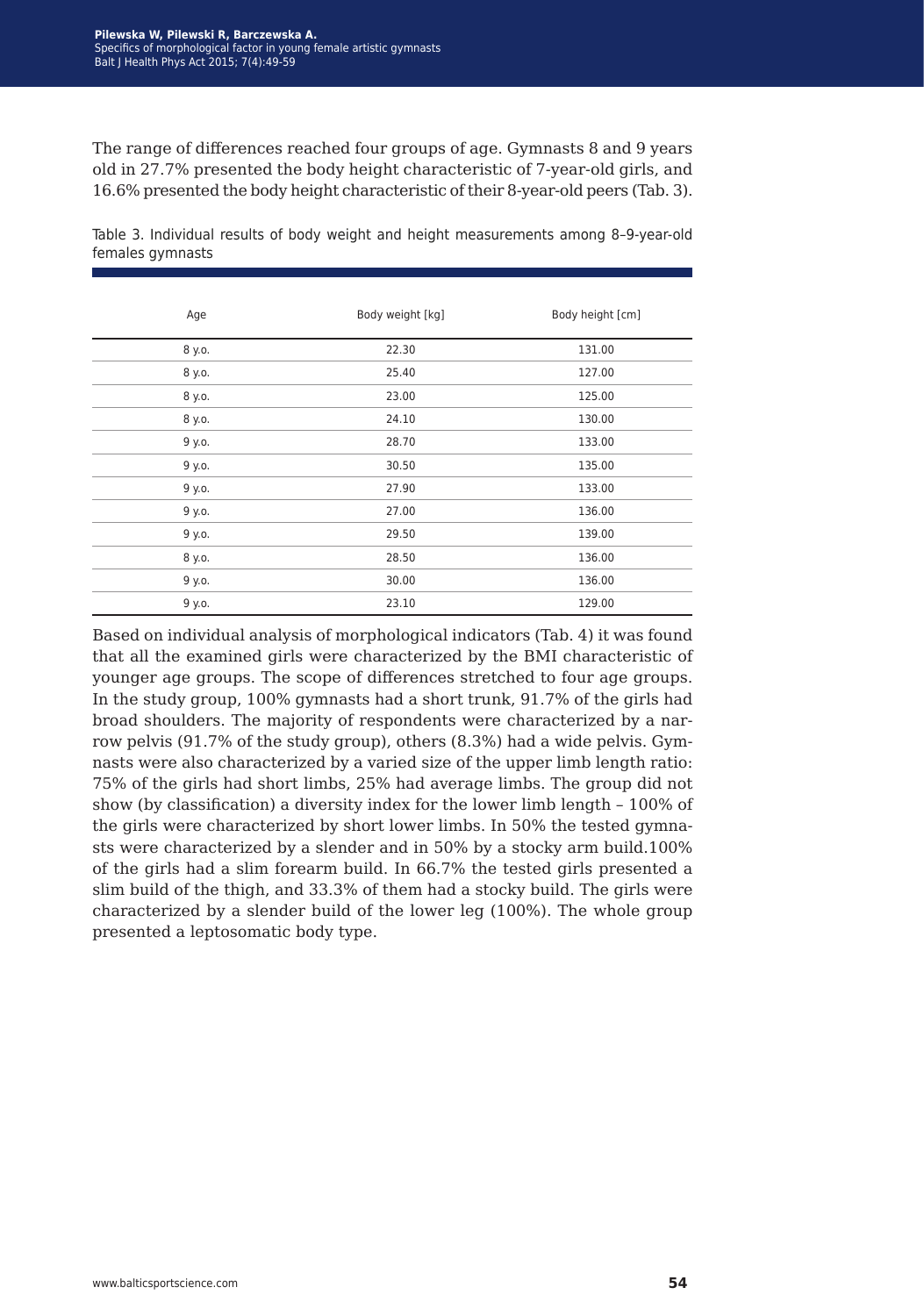The range of differences reached four groups of age. Gymnasts 8 and 9 years old in 27.7% presented the body height characteristic of 7-year-old girls, and 16.6% presented the body height characteristic of their 8-year-old peers (Tab. 3).

| Age    | Body weight [kg] | Body height [cm] |
|--------|------------------|------------------|
| 8 y.o. | 22.30            | 131.00           |
| 8 y.o. | 25.40            | 127.00           |
| 8 y.o. | 23.00            | 125.00           |
| 8 y.o. | 24.10            | 130.00           |
| 9 y.o. | 28.70            | 133.00           |
| 9 y.o. | 30.50            | 135.00           |
| 9 y.o. | 27.90            | 133.00           |
| 9 y.o. | 27.00            | 136.00           |
| 9 y.o. | 29.50            | 139.00           |
| 8 y.o. | 28.50            | 136.00           |
| 9 y.o. | 30.00            | 136.00           |
| 9 y.o. | 23.10            | 129.00           |

Table 3. Individual results of body weight and height measurements among 8–9-year-old females gymnasts

Based on individual analysis of morphological indicators (Tab. 4) it was found that all the examined girls were characterized by the BMI characteristic of younger age groups. The scope of differences stretched to four age groups. In the study group, 100% gymnasts had a short trunk, 91.7% of the girls had broad shoulders. The majority of respondents were characterized by a narrow pelvis (91.7% of the study group), others (8.3%) had a wide pelvis. Gymnasts were also characterized by a varied size of the upper limb length ratio: 75% of the girls had short limbs, 25% had average limbs. The group did not show (by classification) a diversity index for the lower limb length – 100% of the girls were characterized by short lower limbs. In 50% the tested gymnasts were characterized by a slender and in 50% by a stocky arm build.100% of the girls had a slim forearm build. In 66.7% the tested girls presented a slim build of the thigh, and 33.3% of them had a stocky build. The girls were characterized by a slender build of the lower leg (100%). The whole group presented a leptosomatic body type.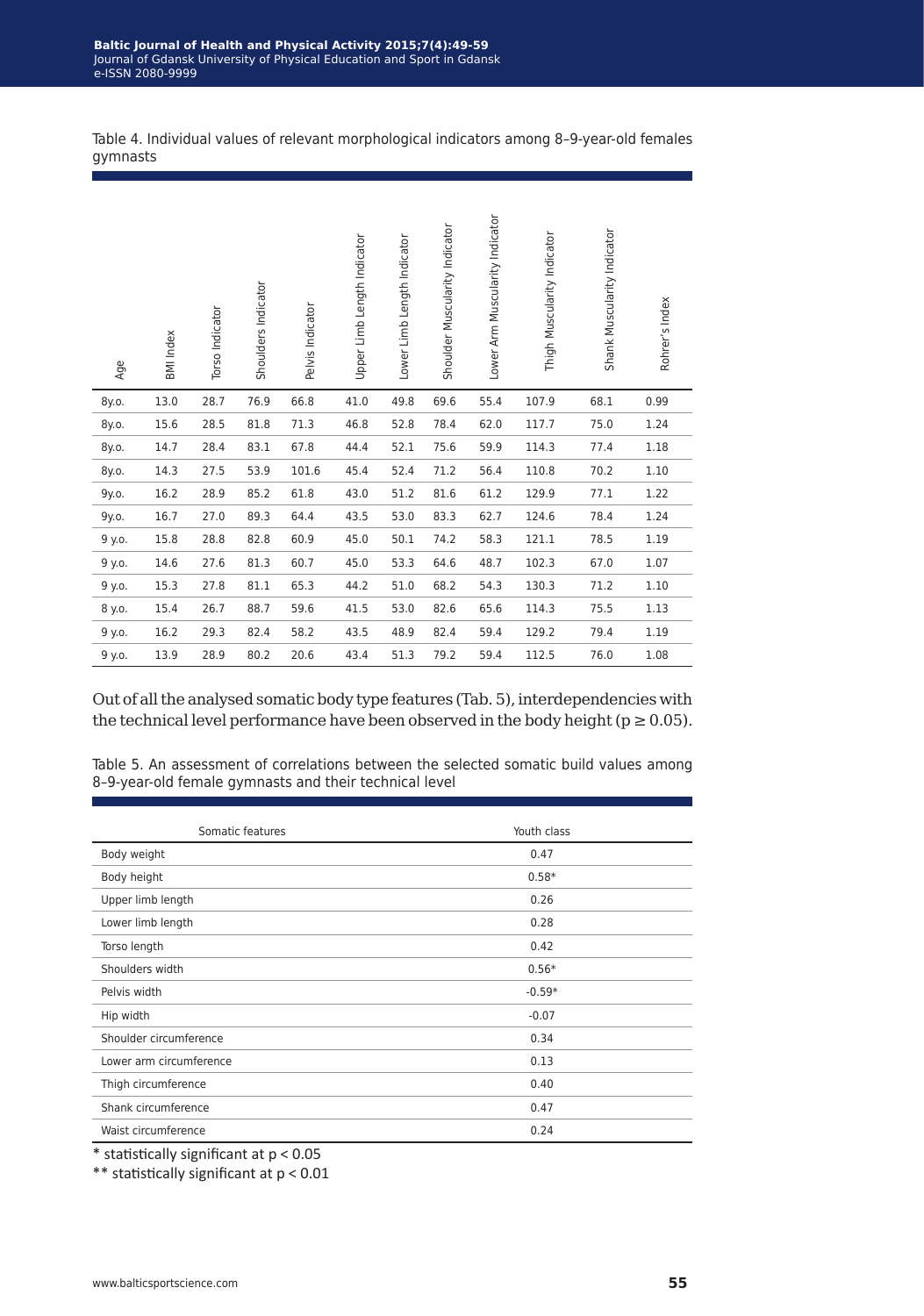Table 4. Individual values of relevant morphological indicators among 8–9-year-old females gymnasts

| Age    | <b>BMI</b> Index | Torso Indicator | Shoulders Indicator | Pelvis Indicator | Upper Limb Length Indicator | Lower Limb Length Indicator | Shoulder Muscularity Indicator | Lower Arm Muscularity Indicator | Thigh Muscularity Indicator | Shank Muscularity Indicator | Rohrer's Index |
|--------|------------------|-----------------|---------------------|------------------|-----------------------------|-----------------------------|--------------------------------|---------------------------------|-----------------------------|-----------------------------|----------------|
| 8y.o.  | 13.0             | 28.7            | 76.9                | 66.8             | 41.0                        | 49.8                        | 69.6                           | 55.4                            | 107.9                       | 68.1                        | 0.99           |
| 8y.o.  | 15.6             | 28.5            | 81.8                | 71.3             | 46.8                        | 52.8                        | 78.4                           | 62.0                            | 117.7                       | 75.0                        | 1.24           |
| 8y.o.  | 14.7             | 28.4            | 83.1                | 67.8             | 44.4                        | 52.1                        | 75.6                           | 59.9                            | 114.3                       | 77.4                        | 1.18           |
| 8y.o.  | 14.3             | 27.5            | 53.9                | 101.6            | 45.4                        | 52.4                        | 71.2                           | 56.4                            | 110.8                       | 70.2                        | 1.10           |
| 9y.o.  | 16.2             | 28.9            | 85.2                | 61.8             | 43.0                        | 51.2                        | 81.6                           | 61.2                            | 129.9                       | 77.1                        | 1.22           |
| 9y.o.  | 16.7             | 27.0            | 89.3                | 64.4             | 43.5                        | 53.0                        | 83.3                           | 62.7                            | 124.6                       | 78.4                        | 1.24           |
| 9 y.o. | 15.8             | 28.8            | 82.8                | 60.9             | 45.0                        | 50.1                        | 74.2                           | 58.3                            | 121.1                       | 78.5                        | 1.19           |
| 9 y.o. | 14.6             | 27.6            | 81.3                | 60.7             | 45.0                        | 53.3                        | 64.6                           | 48.7                            | 102.3                       | 67.0                        | 1.07           |
| 9 y.o. | 15.3             | 27.8            | 81.1                | 65.3             | 44.2                        | 51.0                        | 68.2                           | 54.3                            | 130.3                       | 71.2                        | 1.10           |
| 8 y.o. | 15.4             | 26.7            | 88.7                | 59.6             | 41.5                        | 53.0                        | 82.6                           | 65.6                            | 114.3                       | 75.5                        | 1.13           |
| 9 y.o. | 16.2             | 29.3            | 82.4                | 58.2             | 43.5                        | 48.9                        | 82.4                           | 59.4                            | 129.2                       | 79.4                        | 1.19           |
| 9 y.o. | 13.9             | 28.9            | 80.2                | 20.6             | 43.4                        | 51.3                        | 79.2                           | 59.4                            | 112.5                       | 76.0                        | 1.08           |

Out of all the analysed somatic body type features (Tab. 5), interdependencies with the technical level performance have been observed in the body height ( $p \ge 0.05$ ).

Table 5. An assessment of correlations between the selected somatic build values among 8–9-year-old female gymnasts and their technical level

| Somatic features        | Youth class |
|-------------------------|-------------|
| Body weight             | 0.47        |
| Body height             | $0.58*$     |
| Upper limb length       | 0.26        |
| Lower limb length       | 0.28        |
| Torso length            | 0.42        |
| Shoulders width         | $0.56*$     |
| Pelvis width            | $-0.59*$    |
| Hip width               | $-0.07$     |
| Shoulder circumference  | 0.34        |
| Lower arm circumference | 0.13        |
| Thigh circumference     | 0.40        |
| Shank circumference     | 0.47        |
| Waist circumference     | 0.24        |

\* statistically significant at p < 0.05

\*\* statistically significant at p < 0.01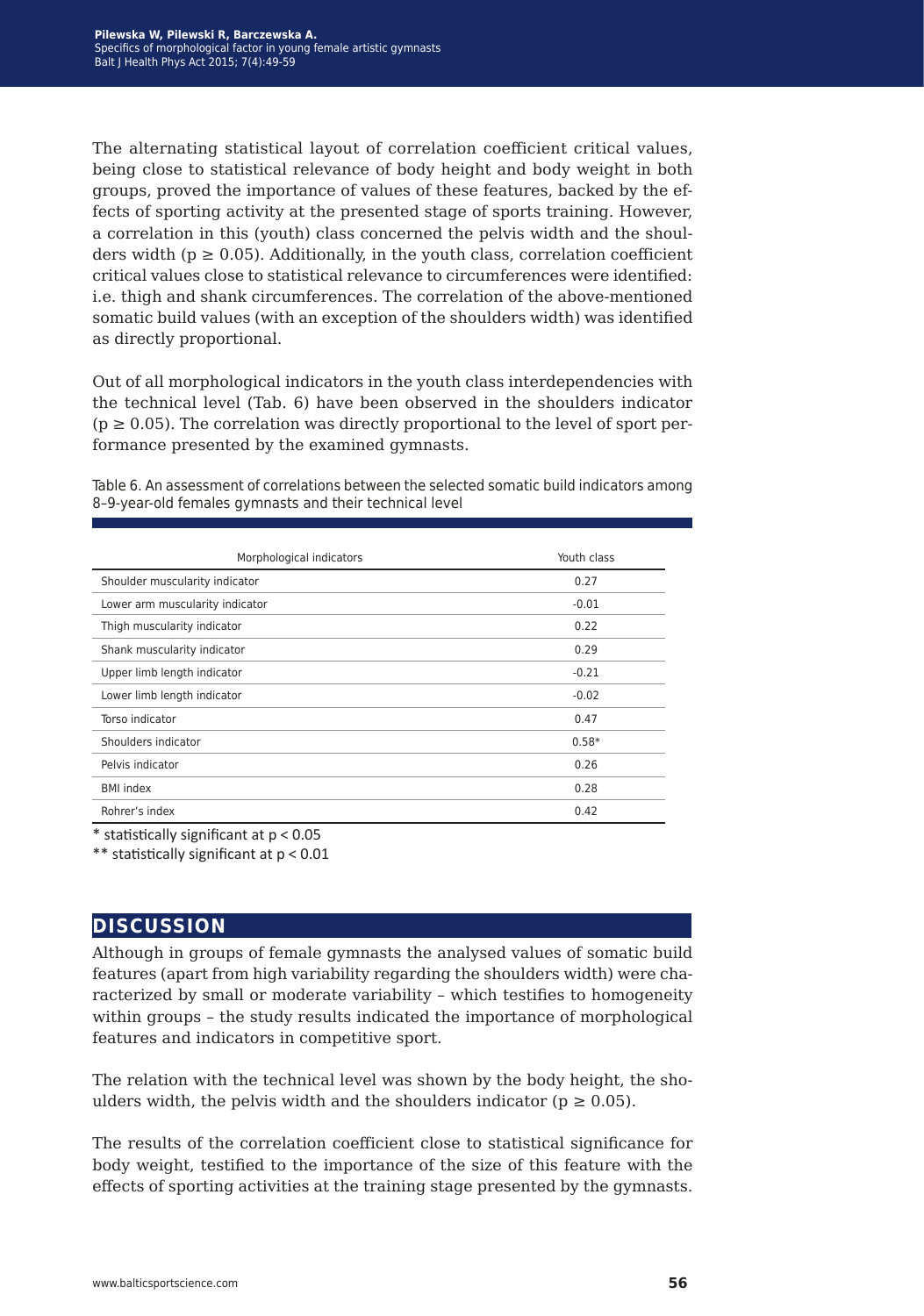The alternating statistical layout of correlation coefficient critical values, being close to statistical relevance of body height and body weight in both groups, proved the importance of values of these features, backed by the effects of sporting activity at the presented stage of sports training. However, a correlation in this (youth) class concerned the pelvis width and the shoulders width ( $p \ge 0.05$ ). Additionally, in the youth class, correlation coefficient critical values close to statistical relevance to circumferences were identified: i.e. thigh and shank circumferences. The correlation of the above-mentioned somatic build values (with an exception of the shoulders width) was identified as directly proportional.

Out of all morphological indicators in the youth class interdependencies with the technical level (Tab. 6) have been observed in the shoulders indicator  $(p \ge 0.05)$ . The correlation was directly proportional to the level of sport performance presented by the examined gymnasts.

Table 6. An assessment of correlations between the selected somatic build indicators among 8–9-year-old females gymnasts and their technical level

| Morphological indicators        | Youth class |
|---------------------------------|-------------|
| Shoulder muscularity indicator  | 0.27        |
| Lower arm muscularity indicator | $-0.01$     |
| Thigh muscularity indicator     | 0.22        |
| Shank muscularity indicator     | 0.29        |
| Upper limb length indicator     | $-0.21$     |
| Lower limb length indicator     | $-0.02$     |
| Torso indicator                 | 0.47        |
| Shoulders indicator             | $0.58*$     |
| Pelvis indicator                | 0.26        |
| <b>BMI</b> index                | 0.28        |
| Rohrer's index                  | 0.42        |

 $*$  statistically significant at  $p < 0.05$ 

\*\* statistically significant at p < 0.01

#### **discussion**

Although in groups of female gymnasts the analysed values of somatic build features (apart from high variability regarding the shoulders width) were characterized by small or moderate variability – which testifies to homogeneity within groups – the study results indicated the importance of morphological features and indicators in competitive sport.

The relation with the technical level was shown by the body height, the shoulders width, the pelvis width and the shoulders indicator ( $p \ge 0.05$ ).

The results of the correlation coefficient close to statistical significance for body weight, testified to the importance of the size of this feature with the effects of sporting activities at the training stage presented by the gymnasts.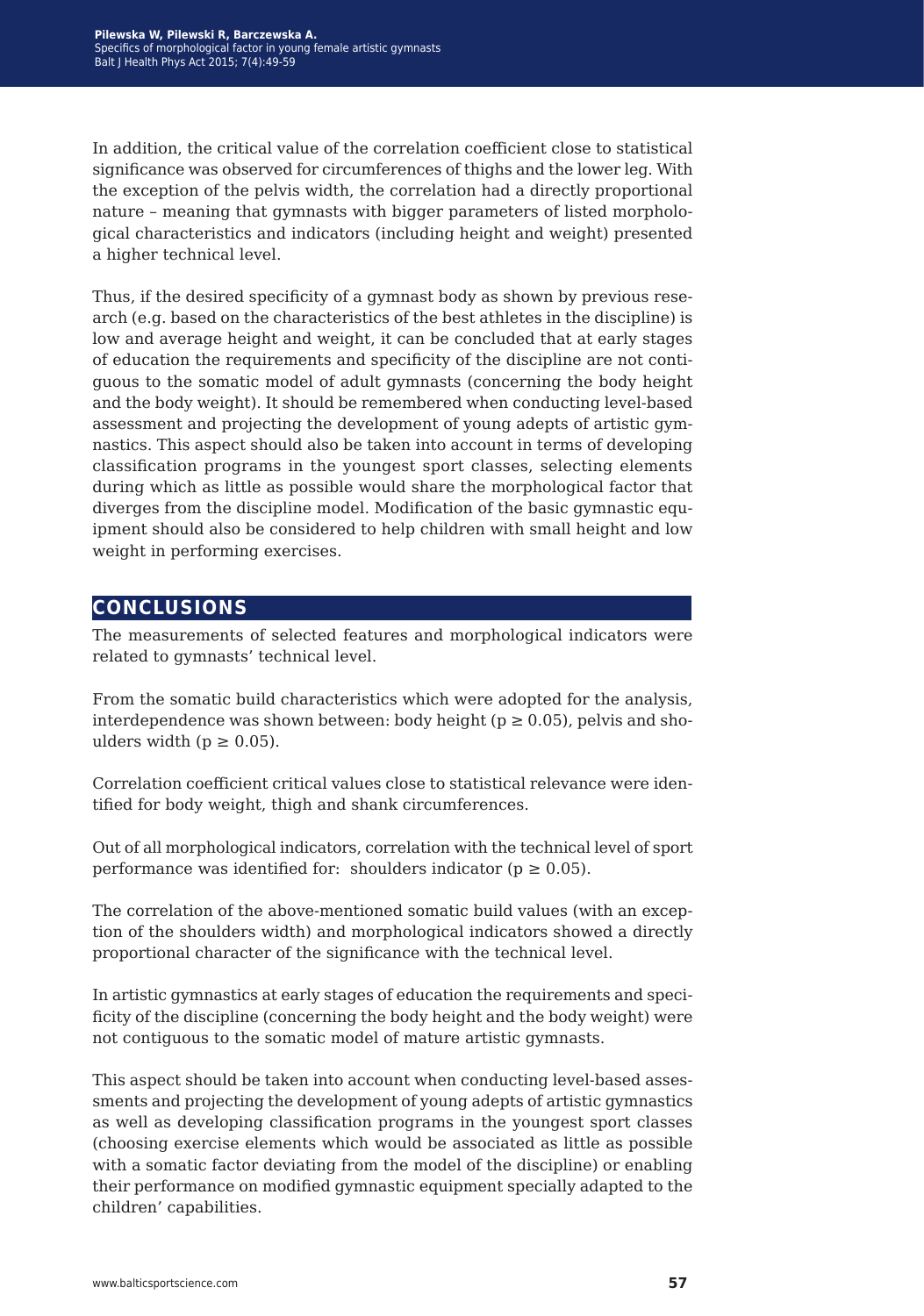In addition, the critical value of the correlation coefficient close to statistical significance was observed for circumferences of thighs and the lower leg. With the exception of the pelvis width, the correlation had a directly proportional nature – meaning that gymnasts with bigger parameters of listed morphological characteristics and indicators (including height and weight) presented a higher technical level.

Thus, if the desired specificity of a gymnast body as shown by previous research (e.g. based on the characteristics of the best athletes in the discipline) is low and average height and weight, it can be concluded that at early stages of education the requirements and specificity of the discipline are not contiguous to the somatic model of adult gymnasts (concerning the body height and the body weight). It should be remembered when conducting level-based assessment and projecting the development of young adepts of artistic gymnastics. This aspect should also be taken into account in terms of developing classification programs in the youngest sport classes, selecting elements during which as little as possible would share the morphological factor that diverges from the discipline model. Modification of the basic gymnastic equipment should also be considered to help children with small height and low weight in performing exercises.

#### **conclusions**

The measurements of selected features and morphological indicators were related to gymnasts' technical level.

From the somatic build characteristics which were adopted for the analysis, interdependence was shown between: body height ( $p \ge 0.05$ ), pelvis and shoulders width ( $p \geq 0.05$ ).

Correlation coefficient critical values close to statistical relevance were identified for body weight, thigh and shank circumferences.

Out of all morphological indicators, correlation with the technical level of sport performance was identified for: shoulders indicator ( $p \ge 0.05$ ).

The correlation of the above-mentioned somatic build values (with an exception of the shoulders width) and morphological indicators showed a directly proportional character of the significance with the technical level.

In artistic gymnastics at early stages of education the requirements and specificity of the discipline (concerning the body height and the body weight) were not contiguous to the somatic model of mature artistic gymnasts.

This aspect should be taken into account when conducting level-based assessments and projecting the development of young adepts of artistic gymnastics as well as developing classification programs in the youngest sport classes (choosing exercise elements which would be associated as little as possible with a somatic factor deviating from the model of the discipline) or enabling their performance on modified gymnastic equipment specially adapted to the children' capabilities.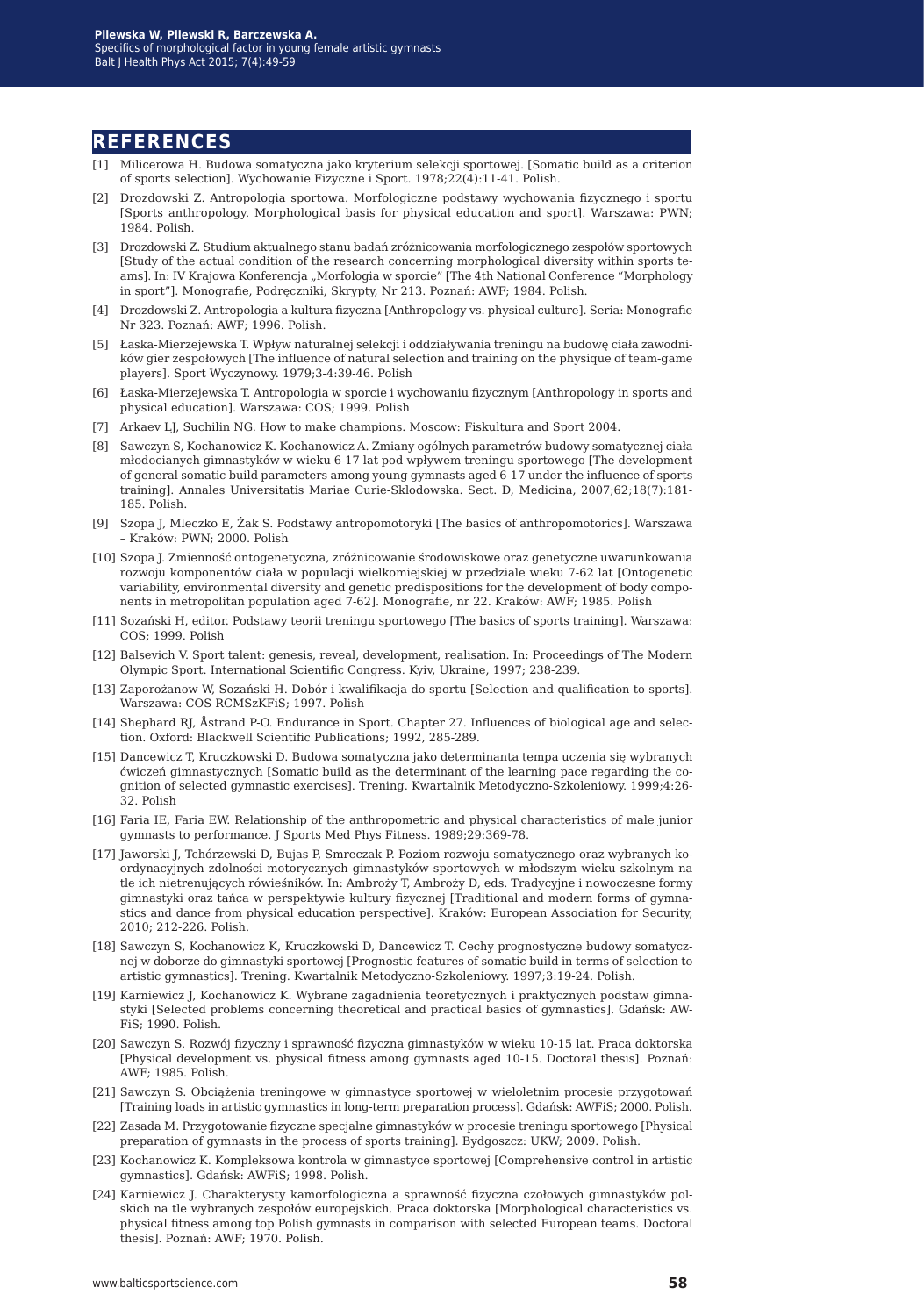#### **references**

- [1] Milicerowa H. Budowa somatyczna jako kryterium selekcji sportowej. [Somatic build as a criterion of sports selection]. Wychowanie Fizyczne i Sport. 1978;22(4):11-41. Polish.
- [2] Drozdowski Z. Antropologia sportowa. Morfologiczne podstawy wychowania fizycznego i sportu [Sports anthropology. Morphological basis for physical education and sport]. Warszawa: PWN; 1984. Polish.
- [3] Drozdowski Z. Studium aktualnego stanu badań zróżnicowania morfologicznego zespołów sportowych [Study of the actual condition of the research concerning morphological diversity within sports teams]. In: IV Krajowa Konferencja "Morfologia w sporcie" [The 4th National Conference "Morphology in sport"]. Monografie, Podręczniki, Skrypty, Nr 213. Poznań: AWF; 1984. Polish.
- [4] Drozdowski Z. Antropologia a kultura fizyczna [Anthropology vs. physical culture]. Seria: Monografie Nr 323. Poznań: AWF; 1996. Polish.
- [5] Łaska-Mierzejewska T. Wpływ naturalnej selekcji i oddziaływania treningu na budowę ciała zawodników gier zespołowych [The influence of natural selection and training on the physique of team-game players]. Sport Wyczynowy. 1979;3-4:39-46. Polish
- [6] Łaska-Mierzejewska T. Antropologia w sporcie i wychowaniu fizycznym [Anthropology in sports and physical education]. Warszawa: COS; 1999. Polish
- [7] Arkaev LJ, Suchilin NG. How to make champions. Moscow: Fiskultura and Sport 2004.
- [8] Sawczyn S, Kochanowicz K. Kochanowicz A. Zmiany ogólnych parametrów budowy somatycznej ciała młodocianych gimnastyków w wieku 6-17 lat pod wpływem treningu sportowego [The development of general somatic build parameters among young gymnasts aged 6-17 under the influence of sports training]. Annales Universitatis Mariae Curie-Sklodowska. Sect. D, Medicina, 2007;62;18(7):181- 185. Polish.
- [9] Szopa J, Mleczko E, Żak S. Podstawy antropomotoryki [The basics of anthropomotorics]. Warszawa – Kraków: PWN; 2000. Polish
- [10] Szopa J. Zmienność ontogenetyczna, zróżnicowanie środowiskowe oraz genetyczne uwarunkowania rozwoju komponentów ciała w populacji wielkomiejskiej w przedziale wieku 7-62 lat [Ontogenetic variability, environmental diversity and genetic predispositions for the development of body components in metropolitan population aged 7-62]. Monografie, nr 22. Kraków: AWF; 1985. Polish
- [11] Sozański H, editor. Podstawy teorii treningu sportowego [The basics of sports training]. Warszawa: COS; 1999. Polish
- [12] Balsevich V. Sport talent: genesis, reveal, development, realisation. In: Proceedings of The Modern Olympic Sport. International Scientific Congress. Kyiv, Ukraine, 1997; 238-239.
- [13] Zaporożanow W, Sozański H. Dobór i kwalifikacja do sportu [Selection and qualification to sports]. Warszawa: COS RCMSzKFiS; 1997. Polish
- [14] Shephard RJ, Åstrand P-O. Endurance in Sport. Chapter 27. Influences of biological age and selection. Oxford: Blackwell Scientific Publications; 1992, 285-289.
- [15] Dancewicz T, Kruczkowski D. Budowa somatyczna jako determinanta tempa uczenia się wybranych ćwiczeń gimnastycznych [Somatic build as the determinant of the learning pace regarding the cognition of selected gymnastic exercises]. Trening. Kwartalnik Metodyczno-Szkoleniowy. 1999;4:26- 32. Polish
- [16] Faria IE, Faria EW. Relationship of the anthropometric and physical characteristics of male junior gymnasts to performance. J Sports Med Phys Fitness. 1989;29:369-78.
- [17] Jaworski J, Tchórzewski D, Bujas P, Smreczak P. Poziom rozwoju somatycznego oraz wybranych koordynacyjnych zdolności motorycznych gimnastyków sportowych w młodszym wieku szkolnym na tle ich nietrenujących rówieśników. In: Ambroży T, Ambroży D, eds. Tradycyjne i nowoczesne formy gimnastyki oraz tańca w perspektywie kultury fizycznej [Traditional and modern forms of gymnastics and dance from physical education perspective]. Kraków: European Association for Security, 2010; 212-226. Polish.
- [18] Sawczyn S, Kochanowicz K, Kruczkowski D, Dancewicz T. Cechy prognostyczne budowy somatycznej w doborze do gimnastyki sportowej [Prognostic features of somatic build in terms of selection to artistic gymnastics]. Trening. Kwartalnik Metodyczno-Szkoleniowy. 1997;3:19-24. Polish.
- [19] Karniewicz J, Kochanowicz K. Wybrane zagadnienia teoretycznych i praktycznych podstaw gimnastyki [Selected problems concerning theoretical and practical basics of gymnastics]. Gdańsk: AW-FiS; 1990. Polish.
- [20] Sawczyn S. Rozwój fizyczny i sprawność fizyczna gimnastyków w wieku 10-15 lat. Praca doktorska [Physical development vs. physical fitness among gymnasts aged 10-15. Doctoral thesis]. Poznań: AWF; 1985. Polish.
- [21] Sawczyn S. Obciążenia treningowe w gimnastyce sportowej w wieloletnim procesie przygotowań [Training loads in artistic gymnastics in long-term preparation process]. Gdańsk: AWFiS; 2000. Polish.
- [22] Zasada M. Przygotowanie fizyczne specjalne gimnastyków w procesie treningu sportowego [Physical preparation of gymnasts in the process of sports training]*.* Bydgoszcz: UKW; 2009. Polish.
- [23] Kochanowicz K. Kompleksowa kontrola w gimnastyce sportowej [Comprehensive control in artistic gymnastics]. Gdańsk: AWFiS; 1998. Polish.
- [24] Karniewicz J. Charakterysty kamorfologiczna a sprawność fizyczna czołowych gimnastyków polskich na tle wybranych zespołów europejskich. Praca doktorska [Morphological characteristics vs. physical fitness among top Polish gymnasts in comparison with selected European teams. Doctoral thesis]. Poznań: AWF; 1970. Polish.